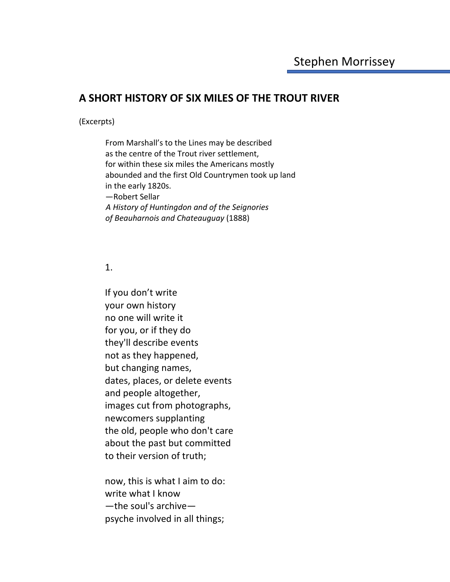# **A SHORT HISTORY OF SIX MILES OF THE TROUT RIVER**

#### (Excerpts)

From Marshall's to the Lines may be described as the centre of the Trout river settlement, for within these six miles the Americans mostly abounded and the first Old Countrymen took up land in the early 1820s. —Robert Sellar *A History of Huntingdon and of the Seignories of Beauharnois and Chateauguay* (1888)

## 1.

If you don't write your own history no one will write it for you, or if they do they'll describe events not as they happened, but changing names, dates, places, or delete events and people altogether, images cut from photographs, newcomers supplanting the old, people who don't care about the past but committed to their version of truth;

now, this is what I aim to do: write what I know —the soul's archive psyche involved in all things;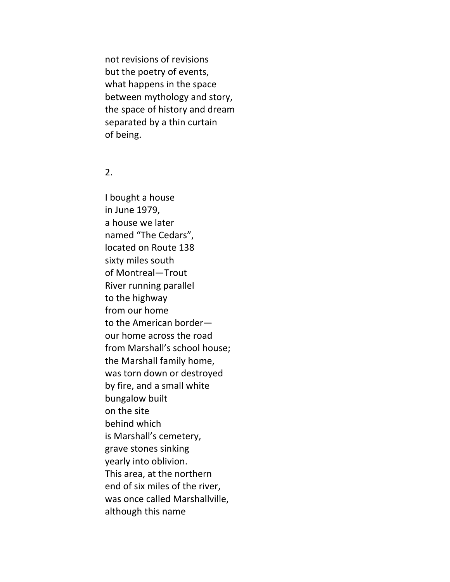not revisions of revisions but the poetry of events, what happens in the space between mythology and story, the space of history and dream separated by a thin curtain of being.

#### 2.

I bought a house in June 1979, a house we later named "The Cedars", located on Route 138 sixty miles south of Montreal—Trout River running parallel to the highway from our home to the American border our home across the road from Marshall's school house; the Marshall family home, was torn down or destroyed by fire, and a small white bungalow built on the site behind which is Marshall's cemetery, grave stones sinking yearly into oblivion. This area, at the northern end of six miles of the river, was once called Marshallville, although this name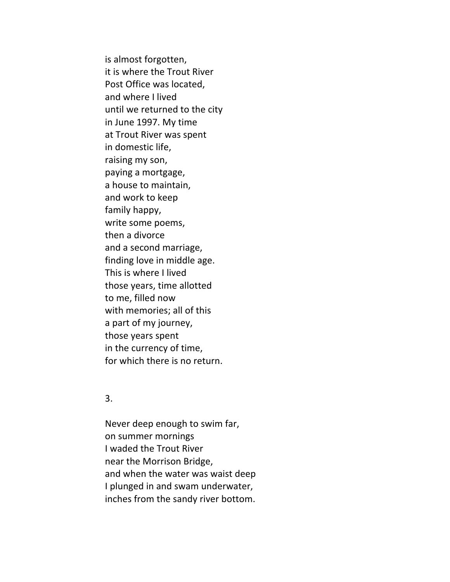is almost forgotten, it is where the Trout River Post Office was located, and where I lived until we returned to the city in June 1997. My time at Trout River was spent in domestic life, raising my son, paying a mortgage, a house to maintain, and work to keep family happy, write some poems, then a divorce and a second marriage, finding love in middle age. This is where I lived those years, time allotted to me, filled now with memories; all of this a part of my journey, those years spent in the currency of time, for which there is no return.

### 3.

Never deep enough to swim far, on summer mornings I waded the Trout River near the Morrison Bridge, and when the water was waist deep I plunged in and swam underwater, inches from the sandy river bottom.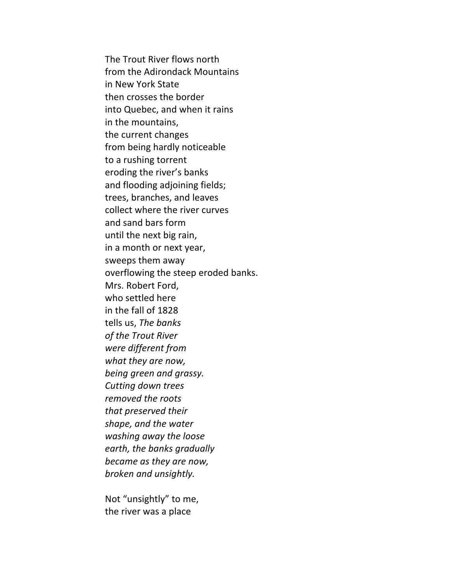The Trout River flows north from the Adirondack Mountains in New York State then crosses the border into Quebec, and when it rains in the mountains, the current changes from being hardly noticeable to a rushing torrent eroding the river's banks and flooding adjoining fields; trees, branches, and leaves collect where the river curves and sand bars form until the next big rain, in a month or next year, sweeps them away overflowing the steep eroded banks. Mrs. Robert Ford, who settled here in the fall of 1828 tells us, *The banks of the Trout River were different from what they are now, being green and grassy. Cutting down trees removed the roots that preserved their shape, and the water washing away the loose earth, the banks gradually became as they are now, broken and unsightly.*

Not "unsightly" to me, the river was a place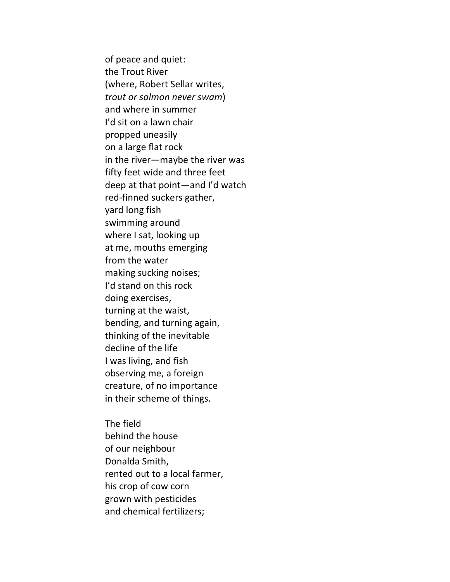of peace and quiet: the Trout River (where, Robert Sellar writes, *trout or salmon never swam*) and where in summer I'd sit on a lawn chair propped uneasily on a large flat rock in the river—maybe the river was fifty feet wide and three feet deep at that point—and I'd watch red-finned suckers gather, yard long fish swimming around where I sat, looking up at me, mouths emerging from the water making sucking noises; I'd stand on this rock doing exercises, turning at the waist, bending, and turning again, thinking of the inevitable decline of the life I was living, and fish observing me, a foreign creature, of no importance in their scheme of things.

The field behind the house of our neighbour Donalda Smith, rented out to a local farmer, his crop of cow corn grown with pesticides and chemical fertilizers;